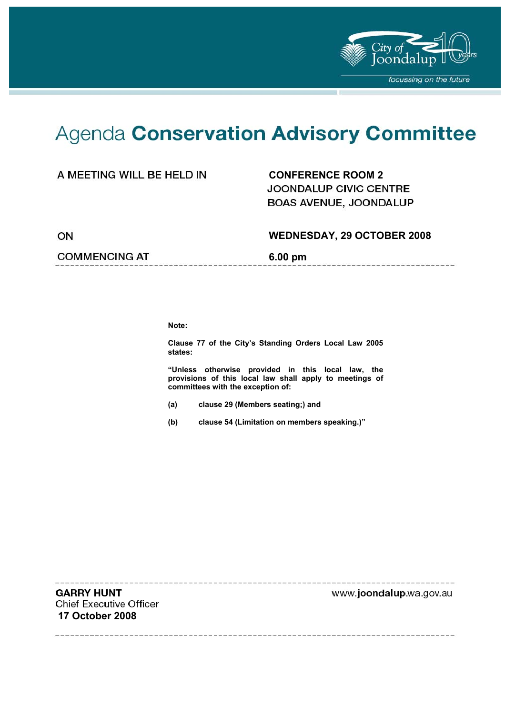

# Agenda Conservation Advisory Committee

### A MEETING WILL BE HELD IN **CONFERENCE ROOM 2**

**JOONDALUP CIVIC CENTRE** BOAS AVENUE, JOONDALUP

ON

#### **WEDNESDAY, 29 OCTOBER 2008**

--------------------

#### **COMMENCING AT 6.00 pm**

**Note:** 

**Clause 77 of the City's Standing Orders Local Law 2005 states:** 

**"Unless otherwise provided in this local law, the provisions of this local law shall apply to meetings of committees with the exception of:** 

- **(a) clause 29 (Members seating;) and**
- **(b) clause 54 (Limitation on members speaking.)"**

**GARRY HUNT Chief Executive Officer 17 October 2008** 

www.joondalup.wa.gov.au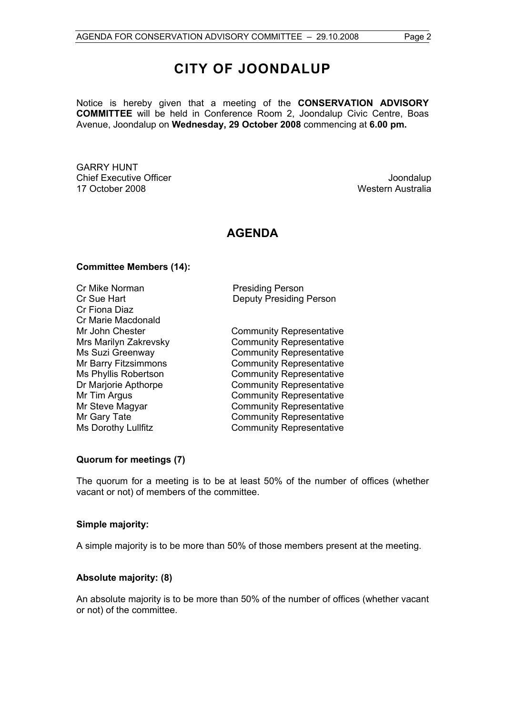## **CITY OF JOONDALUP**

Notice is hereby given that a meeting of the **CONSERVATION ADVISORY COMMITTEE** will be held in Conference Room 2, Joondalup Civic Centre, Boas Avenue, Joondalup on **Wednesday, 29 October 2008** commencing at **6.00 pm.** 

GARRY HUNT Chief Executive Officer  $\Box$  Joondalup Joondalup 17 October 2008 Western Australia

### **AGENDA**

#### **Committee Members (14):**

Cr Mike Norman **Presiding Person** Cr Fiona Diaz Cr Marie Macdonald

Cr Sue Hart Deputy Presiding Person

Mr John Chester **Community Representative** Mrs Marilyn Zakrevsky Community Representative Ms Suzi Greenway **Community Representative** Mr Barry Fitzsimmons **Community Representative** Ms Phyllis Robertson<br>
Dr Marjorie Apthorpe<br>
Community Representative Community Representative Mr Tim Argus **Community Representative** Mr Steve Magyar Community Representative Mr Gary Tate **Community Representative** Ms Dorothy Lullfitz Community Representative

#### **Quorum for meetings (7)**

The quorum for a meeting is to be at least 50% of the number of offices (whether vacant or not) of members of the committee.

#### **Simple majority:**

A simple majority is to be more than 50% of those members present at the meeting.

#### **Absolute majority: (8)**

An absolute majority is to be more than 50% of the number of offices (whether vacant or not) of the committee.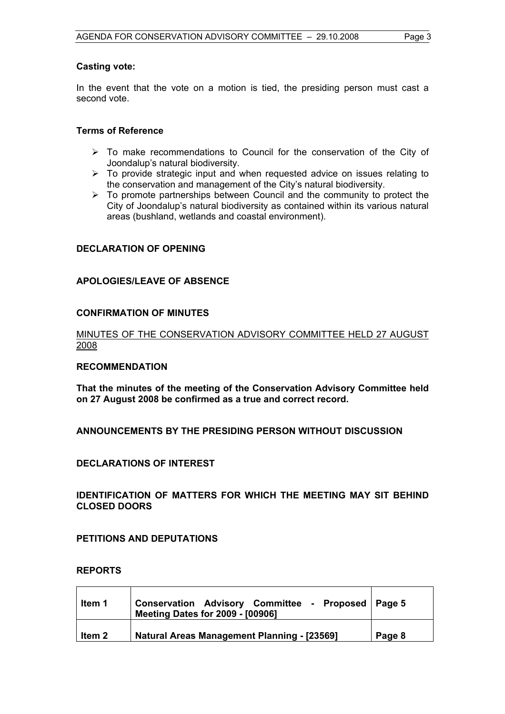#### **Casting vote:**

In the event that the vote on a motion is tied, the presiding person must cast a second vote.

#### **Terms of Reference**

- $\triangleright$  To make recommendations to Council for the conservation of the City of Joondalup's natural biodiversity.
- $\triangleright$  To provide strategic input and when requested advice on issues relating to the conservation and management of the City's natural biodiversity.
- $\triangleright$  To promote partnerships between Council and the community to protect the City of Joondalup's natural biodiversity as contained within its various natural areas (bushland, wetlands and coastal environment).

#### **DECLARATION OF OPENING**

#### **APOLOGIES/LEAVE OF ABSENCE**

#### **CONFIRMATION OF MINUTES**

#### MINUTES OF THE CONSERVATION ADVISORY COMMITTEE HELD 27 AUGUST 2008

#### **RECOMMENDATION**

**That the minutes of the meeting of the Conservation Advisory Committee held on 27 August 2008 be confirmed as a true and correct record.** 

#### **ANNOUNCEMENTS BY THE PRESIDING PERSON WITHOUT DISCUSSION**

#### **DECLARATIONS OF INTEREST**

#### **IDENTIFICATION OF MATTERS FOR WHICH THE MEETING MAY SIT BEHIND CLOSED DOORS**

#### **PETITIONS AND DEPUTATIONS**

#### **REPORTS**

| Item 1 | Conservation Advisory Committee - Proposed Page 5<br><b>Meeting Dates for 2009 - [00906]</b> |        |
|--------|----------------------------------------------------------------------------------------------|--------|
| ltem 2 | <b>Natural Areas Management Planning - [23569]</b>                                           | Page 8 |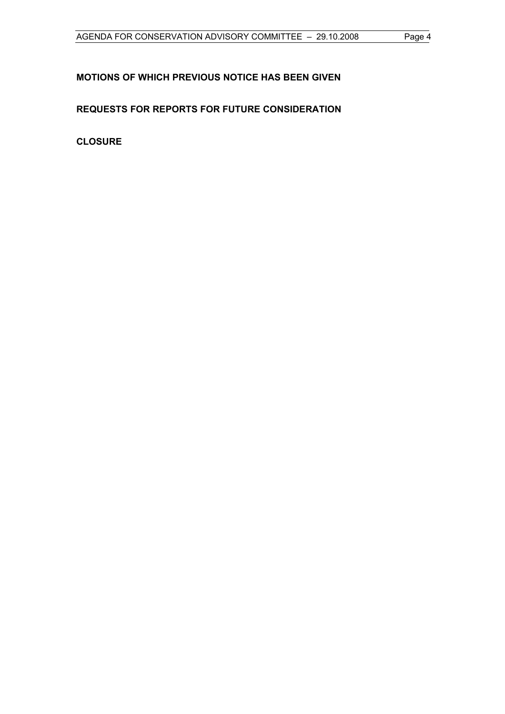### **MOTIONS OF WHICH PREVIOUS NOTICE HAS BEEN GIVEN**

### **REQUESTS FOR REPORTS FOR FUTURE CONSIDERATION**

**CLOSURE**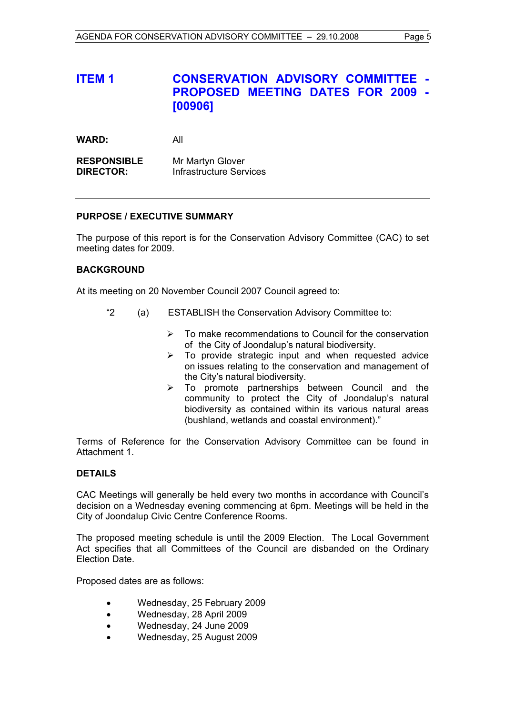### **ITEM 1 CONSERVATION ADVISORY COMMITTEE - PROPOSED MEETING DATES FOR 2009 - [00906]**

**WARD:** All

**RESPONSIBLE** Mr Martyn Glover **DIRECTOR:** Infrastructure Services

#### **PURPOSE / EXECUTIVE SUMMARY**

The purpose of this report is for the Conservation Advisory Committee (CAC) to set meeting dates for 2009.

#### **BACKGROUND**

At its meeting on 20 November Council 2007 Council agreed to:

- "2 (a) ESTABLISH the Conservation Advisory Committee to:
	- $\triangleright$  To make recommendations to Council for the conservation of the City of Joondalup's natural biodiversity.
	- $\triangleright$  To provide strategic input and when requested advice on issues relating to the conservation and management of the City's natural biodiversity.
	- $\triangleright$  To promote partnerships between Council and the community to protect the City of Joondalup's natural biodiversity as contained within its various natural areas (bushland, wetlands and coastal environment)."

Terms of Reference for the Conservation Advisory Committee can be found in Attachment 1.

#### **DETAILS**

CAC Meetings will generally be held every two months in accordance with Council's decision on a Wednesday evening commencing at 6pm. Meetings will be held in the City of Joondalup Civic Centre Conference Rooms.

The proposed meeting schedule is until the 2009 Election. The Local Government Act specifies that all Committees of the Council are disbanded on the Ordinary Election Date.

Proposed dates are as follows:

- Wednesday, 25 February 2009
- Wednesday, 28 April 2009
- Wednesday, 24 June 2009
- Wednesday, 25 August 2009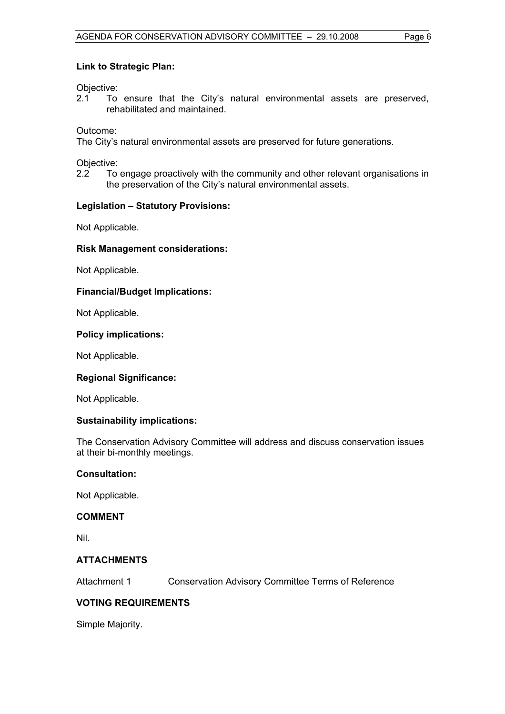#### **Link to Strategic Plan:**

Objective:

2.1 To ensure that the City's natural environmental assets are preserved, rehabilitated and maintained.

Outcome:

The City's natural environmental assets are preserved for future generations.

Objective:

2.2 To engage proactively with the community and other relevant organisations in the preservation of the City's natural environmental assets.

#### **Legislation – Statutory Provisions:**

Not Applicable.

#### **Risk Management considerations:**

Not Applicable.

#### **Financial/Budget Implications:**

Not Applicable.

#### **Policy implications:**

Not Applicable.

#### **Regional Significance:**

Not Applicable.

#### **Sustainability implications:**

The Conservation Advisory Committee will address and discuss conservation issues at their bi-monthly meetings.

#### **Consultation:**

Not Applicable.

#### **COMMENT**

Nil.

#### **ATTACHMENTS**

Attachment 1 Conservation Advisory Committee Terms of Reference

#### **VOTING REQUIREMENTS**

Simple Majority.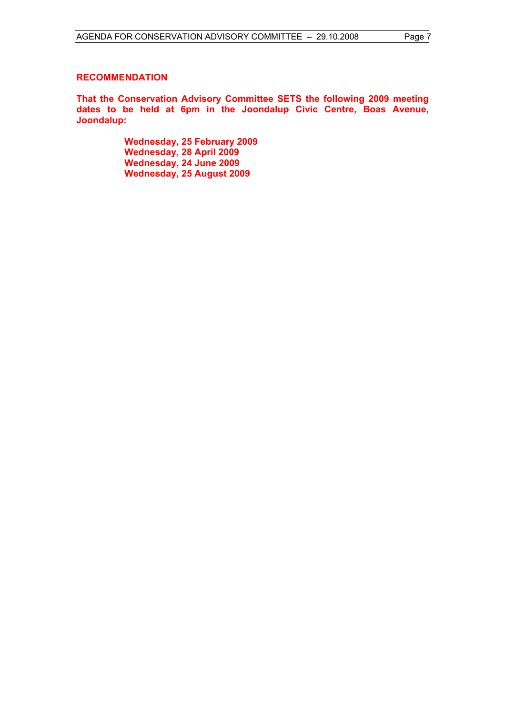#### **RECOMMENDATION**

**That the Conservation Advisory Committee SETS the following 2009 meeting dates to be held at 6pm in the Joondalup Civic Centre, Boas Avenue, Joondalup:** 

> **Wednesday, 25 February 2009 Wednesday, 28 April 2009 Wednesday, 24 June 2009 Wednesday, 25 August 2009**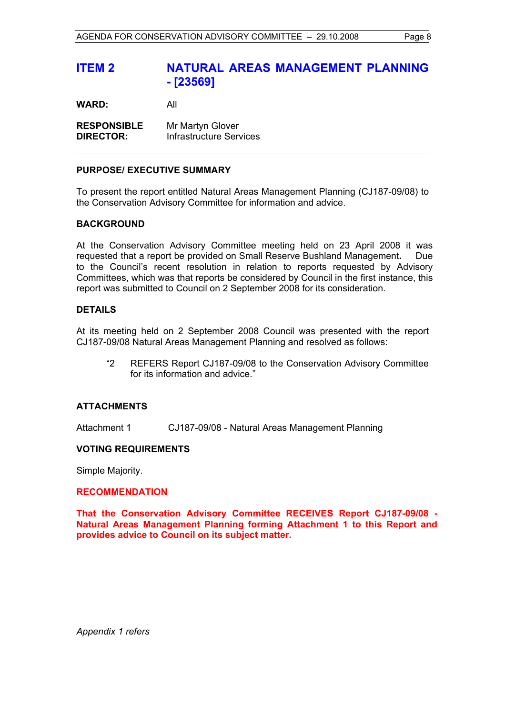### **ITEM 2 NATURAL AREAS MANAGEMENT PLANNING - [23569]**

**WARD:** All

**RESPONSIBLE** Mr Martyn Glover **DIRECTOR:** Infrastructure Services

#### **PURPOSE/ EXECUTIVE SUMMARY**

To present the report entitled Natural Areas Management Planning (CJ187-09/08) to the Conservation Advisory Committee for information and advice.

#### **BACKGROUND**

At the Conservation Advisory Committee meeting held on 23 April 2008 it was requested that a report be provided on Small Reserve Bushland Management**.** Due to the Council's recent resolution in relation to reports requested by Advisory Committees, which was that reports be considered by Council in the first instance, this report was submitted to Council on 2 September 2008 for its consideration.

#### **DETAILS**

At its meeting held on 2 September 2008 Council was presented with the report CJ187-09/08 Natural Areas Management Planning and resolved as follows:

"2 REFERS Report CJ187-09/08 to the Conservation Advisory Committee for its information and advice."

#### **ATTACHMENTS**

Attachment 1 CJ187-09/08 - Natural Areas Management Planning

#### **VOTING REQUIREMENTS**

Simple Majority.

#### **RECOMMENDATION**

**That the Conservation Advisory Committee RECEIVES Report CJ187-09/08 - Natural Areas Management Planning forming Attachment 1 to this Report and provides advice to Council on its subject matter.** 

*Appendix 1 refers*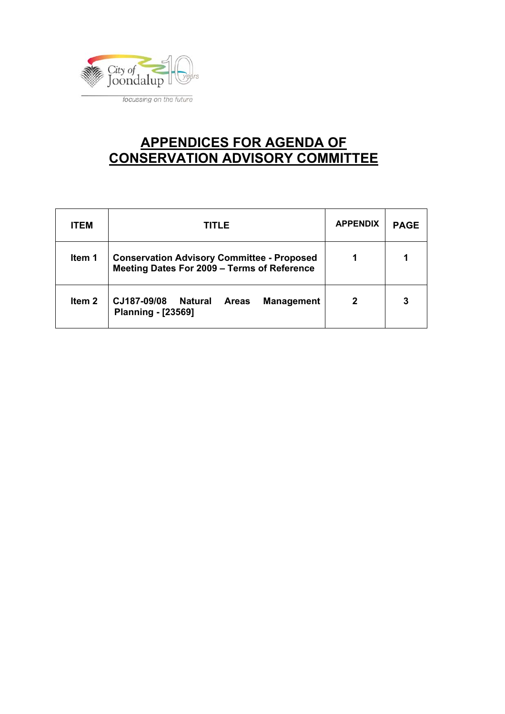

## **APPENDICES FOR AGENDA OF CONSERVATION ADVISORY COMMITTEE**

| <b>ITEM</b> | TITLE                                                                                            | <b>APPENDIX</b> | <b>PAGE</b> |
|-------------|--------------------------------------------------------------------------------------------------|-----------------|-------------|
| Item 1      | <b>Conservation Advisory Committee - Proposed</b><br>Meeting Dates For 2009 - Terms of Reference |                 |             |
| Item 2      | CJ187-09/08<br><b>Natural</b><br><b>Management</b><br><b>Areas</b><br><b>Planning - [23569]</b>  | 2               | 3           |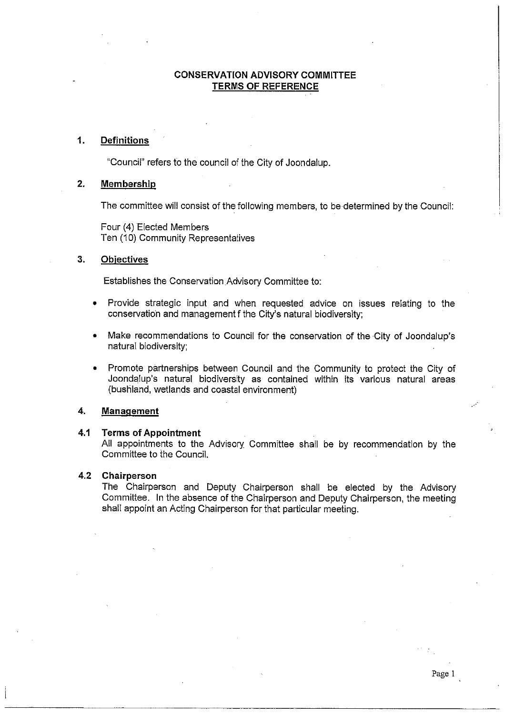#### **CONSERVATION ADVISORY COMMITTEE TERMS OF REFERENCE**

#### $\mathbf{1}$ **Definitions**

"Council" refers to the council of the City of Joondalup.

#### $2.$ Membership

The committee will consist of the following members, to be determined by the Council:

Four (4) Elected Members Ten (10) Community Representatives

#### $3.$ **Objectives**

Establishes the Conservation Advisory Committee to:

- Provide strategic input and when requested advice on issues relating to the conservation and management f the City's natural biodiversity:
- Make recommendations to Council for the conservation of the City of Joondalup's natural biodiversity;
- Promote partnerships between Council and the Community to protect the City of  $\bullet$ Joondalup's natural biodiversity as contained within its various natural areas (bushland, wetlands and coastal environment)

#### 4. **Management**

#### $4.1$ **Terms of Appointment**

All appointments to the Advisory Committee shall be by recommendation by the Committee to the Council.

#### 4.2 Chairperson

The Chairperson and Deputy Chairperson shall be elected by the Advisory Committee. In the absence of the Chairperson and Deputy Chairperson, the meeting shall appoint an Acting Chairperson for that particular meeting.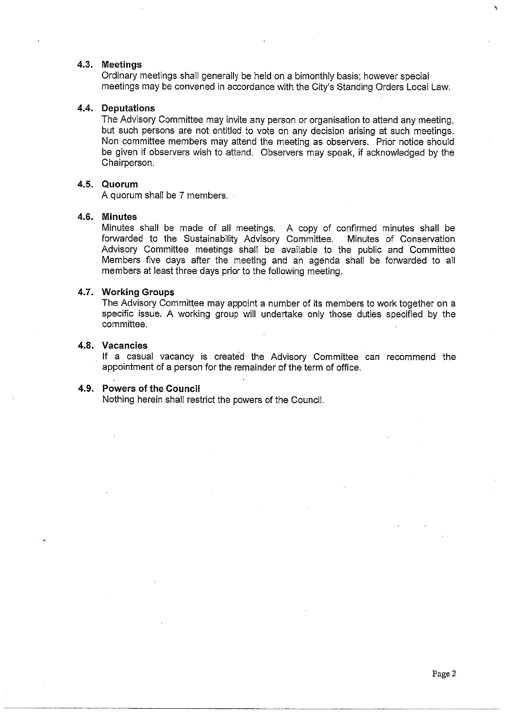#### 4.3. Meetings

Ordinary meetings shall generally be held on a bimonthly basis; however special meetings may be convened in accordance with the City's Standing Orders Local Law.

#### 4.4. Deputations

The Advisory Committee may invite any person or organisation to attend any meeting, but such persons are not entitled to vote on any decision arising at such meetings. Non committee members may attend the meeting as observers. Prior notice should be given if observers wish to attend. Observers may speak, if acknowledged by the Chairperson.

#### 4.5. Quorum

A quorum shall be 7 members.

#### 4.6. Minutes

Minutes shall be made of all meetings. A copy of confirmed minutes shall be forwarded to the Sustainability Advisory Committee. Minutes of Conservation Advisory Committee meetings shall be available to the public and Committee Members five days after the meeting and an agenda shall be forwarded to all members at least three days prior to the following meeting.

#### 4.7. Working Groups

The Advisory Committee may appoint a number of its members to work together on a specific issue. A working group will undertake only those duties specified by the committee

#### 4.8. Vacancies

If a casual vacancy is created the Advisory Committee can recommend the appointment of a person for the remainder of the term of office.

#### 4.9. Powers of the Council

Nothing herein shall restrict the powers of the Council.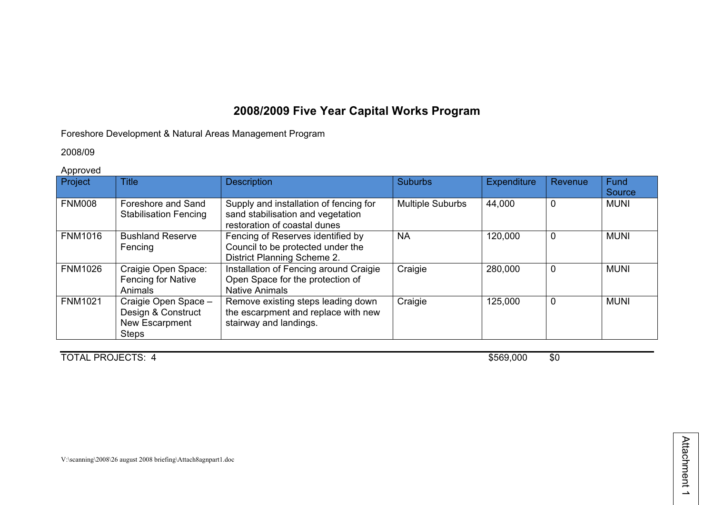### **2008/2009 Five Year Capital Works Program**

#### Foreshore Development & Natural Areas Management Program

#### 2008/09

#### Approved

| Project        | <b>Title</b>                                                                 | <b>Description</b>                                                                                          | <b>Suburbs</b>          | <b>Expenditure</b> | Revenue | Fund<br>Source |
|----------------|------------------------------------------------------------------------------|-------------------------------------------------------------------------------------------------------------|-------------------------|--------------------|---------|----------------|
| <b>FNM008</b>  | Foreshore and Sand<br><b>Stabilisation Fencing</b>                           | Supply and installation of fencing for<br>sand stabilisation and vegetation<br>restoration of coastal dunes | <b>Multiple Suburbs</b> | 44,000             | 0       | <b>MUNI</b>    |
| <b>FNM1016</b> | <b>Bushland Reserve</b><br>Fencing                                           | Fencing of Reserves identified by<br>Council to be protected under the<br>District Planning Scheme 2.       | <b>NA</b>               | 120,000            | 0       | <b>MUNI</b>    |
| <b>FNM1026</b> | Craigie Open Space:<br>Fencing for Native<br>Animals                         | Installation of Fencing around Craigie<br>Open Space for the protection of<br><b>Native Animals</b>         | Craigie                 | 280,000            | 0       | <b>MUNI</b>    |
| <b>FNM1021</b> | Craigie Open Space -<br>Design & Construct<br>New Escarpment<br><b>Steps</b> | Remove existing steps leading down<br>the escarpment and replace with new<br>stairway and landings.         | Craigie                 | 125,000            | 0       | <b>MUNI</b>    |

TOTAL PROJECTS: 4 \$569,000 \$0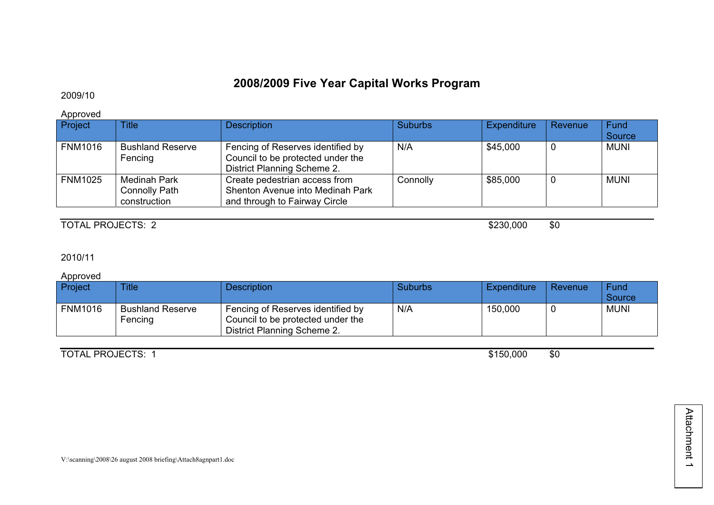## **2008/2009 Five Year Capital Works Program**

### 2009/10

Approved

| Project        | <b>Title</b>                                                | <b>Description</b>                                                                                    | <b>Suburbs</b> | Expenditure | Revenue | Fund<br>Source |
|----------------|-------------------------------------------------------------|-------------------------------------------------------------------------------------------------------|----------------|-------------|---------|----------------|
| <b>FNM1016</b> | <b>Bushland Reserve</b><br>Fencing                          | Fencing of Reserves identified by<br>Council to be protected under the<br>District Planning Scheme 2. | N/A            | \$45,000    |         | <b>MUNI</b>    |
| <b>FNM1025</b> | <b>Medinah Park</b><br><b>Connolly Path</b><br>construction | Create pedestrian access from<br>Shenton Avenue into Medinah Park<br>and through to Fairway Circle    | Connolly       | \$85,000    |         | <b>MUNI</b>    |

TOTAL PROJECTS: 2  $$230,000 \qquad $0$ 

#### 2010/11

Approved

| Project        | <b>Title</b>                       | <b>Description</b>                                                                                    | <b>Suburbs</b> | Expenditure | Revenue | Fund<br>Source |
|----------------|------------------------------------|-------------------------------------------------------------------------------------------------------|----------------|-------------|---------|----------------|
| <b>FNM1016</b> | <b>Bushland Reserve</b><br>Fencing | Fencing of Reserves identified by<br>Council to be protected under the<br>District Planning Scheme 2. | N/A            | 150,000     |         | <b>MUNI</b>    |

TOTAL PROJECTS: 1 \$150,000 \$0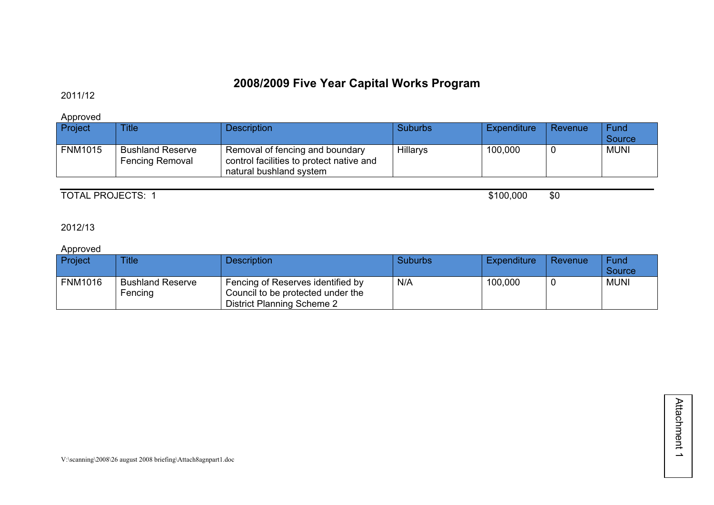## **2008/2009 Five Year Capital Works Program**

### 2011/12

Approved

| Project        | <b>Title</b>                               | <b>Description</b>                                                                                     | Suburbs  | <b>Expenditure</b> | Revenue | Fund<br>Source |
|----------------|--------------------------------------------|--------------------------------------------------------------------------------------------------------|----------|--------------------|---------|----------------|
| <b>FNM1015</b> | <b>Bushland Reserve</b><br>Fencing Removal | Removal of fencing and boundary<br>control facilities to protect native and<br>natural bushland system | Hillarys | 100,000            |         | <b>MUNI</b>    |

TOTAL PROJECTS: 1 \$100,000 \$0

2012/13

### Approved

| Project        | <b>Title</b>                       | <b>Description</b>                                                                                   | <b>Suburbs</b> | <b>Expenditure</b> | Revenue | Fund<br>Source |
|----------------|------------------------------------|------------------------------------------------------------------------------------------------------|----------------|--------------------|---------|----------------|
| <b>FNM1016</b> | <b>Bushland Reserve</b><br>Fencing | Fencing of Reserves identified by<br>Council to be protected under the<br>District Planning Scheme 2 | N/A            | 100,000            |         | <b>MUNI</b>    |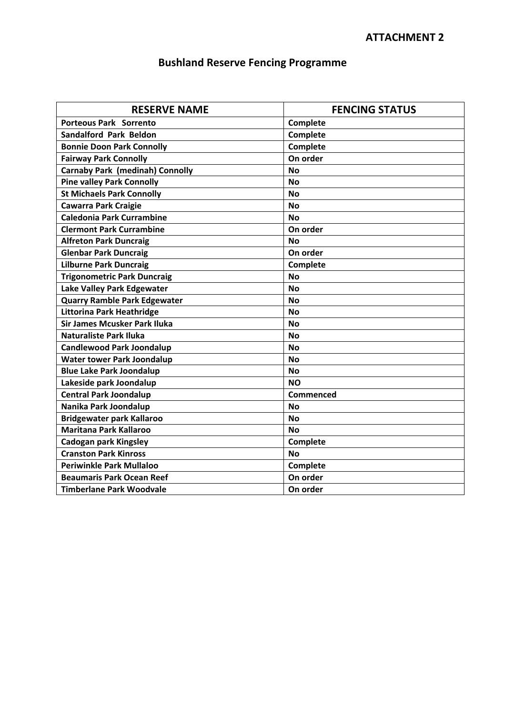## **Bushland Reserve Fencing Programme**

| <b>RESERVE NAME</b>                    | <b>FENCING STATUS</b> |  |  |  |  |
|----------------------------------------|-----------------------|--|--|--|--|
| <b>Porteous Park Sorrento</b>          | Complete              |  |  |  |  |
| <b>Sandalford Park Beldon</b>          | <b>Complete</b>       |  |  |  |  |
| <b>Bonnie Doon Park Connolly</b>       | Complete              |  |  |  |  |
| <b>Fairway Park Connolly</b>           | On order              |  |  |  |  |
| <b>Carnaby Park (medinah) Connolly</b> | <b>No</b>             |  |  |  |  |
| <b>Pine valley Park Connolly</b>       | <b>No</b>             |  |  |  |  |
| <b>St Michaels Park Connolly</b>       | <b>No</b>             |  |  |  |  |
| <b>Cawarra Park Craigie</b>            | <b>No</b>             |  |  |  |  |
| <b>Caledonia Park Currambine</b>       | <b>No</b>             |  |  |  |  |
| <b>Clermont Park Currambine</b>        | On order              |  |  |  |  |
| <b>Alfreton Park Duncraig</b>          | <b>No</b>             |  |  |  |  |
| <b>Glenbar Park Duncraig</b>           | On order              |  |  |  |  |
| <b>Lilburne Park Duncraig</b>          | Complete              |  |  |  |  |
| <b>Trigonometric Park Duncraig</b>     | <b>No</b>             |  |  |  |  |
| Lake Valley Park Edgewater             | <b>No</b>             |  |  |  |  |
| <b>Quarry Ramble Park Edgewater</b>    | <b>No</b>             |  |  |  |  |
| Littorina Park Heathridge              | <b>No</b>             |  |  |  |  |
| <b>Sir James Mcusker Park Iluka</b>    | Nο                    |  |  |  |  |
| <b>Naturaliste Park Iluka</b>          | <b>No</b>             |  |  |  |  |
| <b>Candlewood Park Joondalup</b>       | <b>No</b>             |  |  |  |  |
| <b>Water tower Park Joondalup</b>      | <b>No</b>             |  |  |  |  |
| <b>Blue Lake Park Joondalup</b>        | <b>No</b>             |  |  |  |  |
| Lakeside park Joondalup                | <b>NO</b>             |  |  |  |  |
| <b>Central Park Joondalup</b>          | <b>Commenced</b>      |  |  |  |  |
| Nanika Park Joondalup                  | <b>No</b>             |  |  |  |  |
| <b>Bridgewater park Kallaroo</b>       | <b>No</b>             |  |  |  |  |
| <b>Maritana Park Kallaroo</b>          | No                    |  |  |  |  |
| Cadogan park Kingsley                  | Complete              |  |  |  |  |
| <b>Cranston Park Kinross</b>           | <b>No</b>             |  |  |  |  |
| <b>Periwinkle Park Mullaloo</b>        | Complete              |  |  |  |  |
| <b>Beaumaris Park Ocean Reef</b>       | On order              |  |  |  |  |
| <b>Timberlane Park Woodvale</b>        | On order              |  |  |  |  |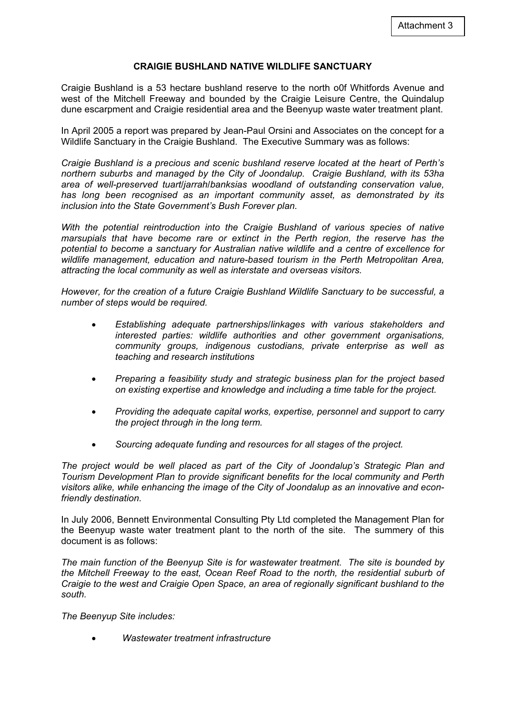#### **CRAIGIE BUSHLAND NATIVE WILDLIFE SANCTUARY**

Craigie Bushland is a 53 hectare bushland reserve to the north o0f Whitfords Avenue and west of the Mitchell Freeway and bounded by the Craigie Leisure Centre, the Quindalup dune escarpment and Craigie residential area and the Beenyup waste water treatment plant.

In April 2005 a report was prepared by Jean-Paul Orsini and Associates on the concept for a Wildlife Sanctuary in the Craigie Bushland. The Executive Summary was as follows:

*Craigie Bushland is a precious and scenic bushland reserve located at the heart of Perth's northern suburbs and managed by the City of Joondalup. Craigie Bushland, with its 53ha area of well-preserved tuart/jarrah/banksias woodland of outstanding conservation value, has long been recognised as an important community asset, as demonstrated by its inclusion into the State Government's Bush Forever plan.* 

*With the potential reintroduction into the Craigie Bushland of various species of native marsupials that have become rare or extinct in the Perth region, the reserve has the potential to become a sanctuary for Australian native wildlife and a centre of excellence for wildlife management, education and nature-based tourism in the Perth Metropolitan Area, attracting the local community as well as interstate and overseas visitors.* 

*However, for the creation of a future Craigie Bushland Wildlife Sanctuary to be successful, a number of steps would be required.* 

- x *Establishing adequate partnerships/linkages with various stakeholders and interested parties: wildlife authorities and other government organisations, community groups, indigenous custodians, private enterprise as well as teaching and research institutions*
- x *Preparing a feasibility study and strategic business plan for the project based on existing expertise and knowledge and including a time table for the project.*
- x *Providing the adequate capital works, expertise, personnel and support to carry the project through in the long term.*
- x *Sourcing adequate funding and resources for all stages of the project.*

*The project would be well placed as part of the City of Joondalup's Strategic Plan and Tourism Development Plan to provide significant benefits for the local community and Perth visitors alike, while enhancing the image of the City of Joondalup as an innovative and econfriendly destination.* 

In July 2006, Bennett Environmental Consulting Pty Ltd completed the Management Plan for the Beenyup waste water treatment plant to the north of the site. The summery of this document is as follows:

*The main function of the Beenyup Site is for wastewater treatment. The site is bounded by the Mitchell Freeway to the east, Ocean Reef Road to the north, the residential suburb of Craigie to the west and Craigie Open Space, an area of regionally significant bushland to the south.* 

*The Beenyup Site includes:* 

x *Wastewater treatment infrastructure*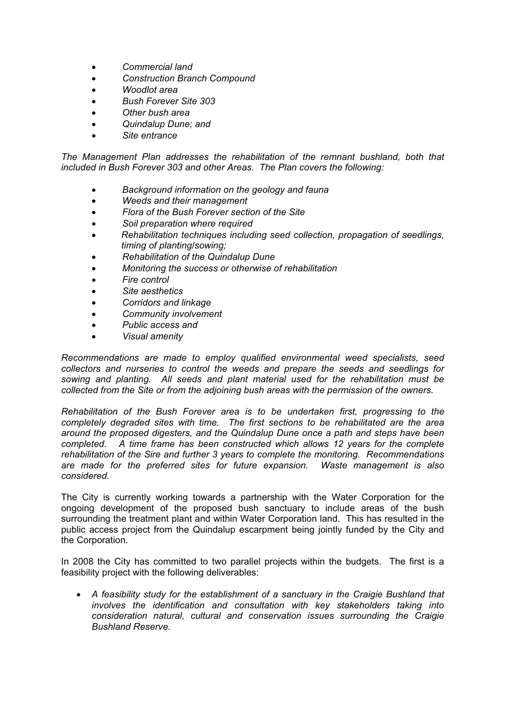- x *Commercial land*
- x *Construction Branch Compound*
- x *Woodlot area*
- x *Bush Forever Site 303*
- x *Other bush area*
- x *Quindalup Dune; and*
- x *Site entrance*

The Management Plan addresses the rehabilitation of the remnant bushland, both that *included in Bush Forever 303 and other Areas. The Plan covers the following:* 

- x *Background information on the geology and fauna*
- x *Weeds and their management*
- x *Flora of the Bush Forever section of the Site*
- x *Soil preparation where required*
- x *Rehabilitation techniques including seed collection, propagation of seedlings, timing of planting/sowing;*
- x *Rehabilitation of the Quindalup Dune*
- x *Monitoring the success or otherwise of rehabilitation*
- x *Fire control*
- x *Site aesthetics*
- x *Corridors and linkage*
- x *Community involvement*
- **Public access and**
- x *Visual amenity*

*Recommendations are made to employ qualified environmental weed specialists, seed collectors and nurseries to control the weeds and prepare the seeds and seedlings for sowing and planting. All seeds and plant material used for the rehabilitation must be collected from the Site or from the adjoining bush areas with the permission of the owners.* 

*Rehabilitation of the Bush Forever area is to be undertaken first, progressing to the completely degraded sites with time. The first sections to be rehabilitated are the area around the proposed digesters, and the Quindalup Dune once a path and steps have been completed. A time frame has been constructed which allows 12 years for the complete rehabilitation of the Sire and further 3 years to complete the monitoring. Recommendations are made for the preferred sites for future expansion. Waste management is also considered.* 

The City is currently working towards a partnership with the Water Corporation for the ongoing development of the proposed bush sanctuary to include areas of the bush surrounding the treatment plant and within Water Corporation land. This has resulted in the public access project from the Quindalup escarpment being jointly funded by the City and the Corporation.

In 2008 the City has committed to two parallel projects within the budgets. The first is a feasibility project with the following deliverables:

x *A feasibility study for the establishment of a sanctuary in the Craigie Bushland that involves the identification and consultation with key stakeholders taking into consideration natural, cultural and conservation issues surrounding the Craigie Bushland Reserve.*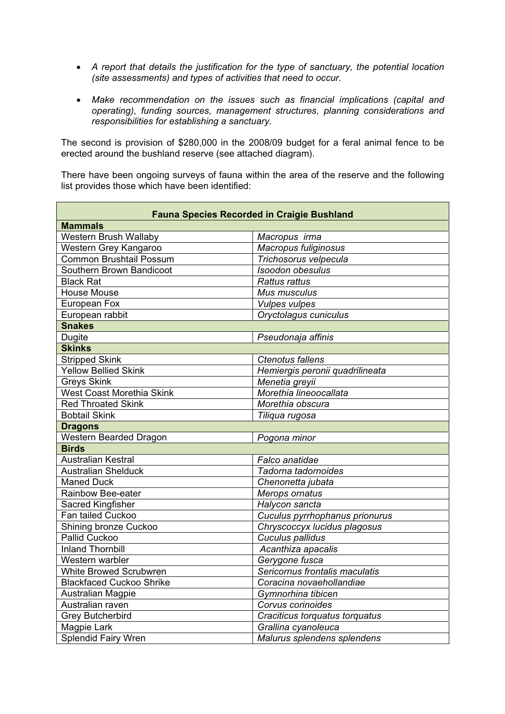- x *A report that details the justification for the type of sanctuary, the potential location (site assessments) and types of activities that need to occur.*
- x *Make recommendation on the issues such as financial implications (capital and operating), funding sources, management structures, planning considerations and responsibilities for establishing a sanctuary.*

The second is provision of \$280,000 in the 2008/09 budget for a feral animal fence to be erected around the bushland reserve (see attached diagram).

There have been ongoing surveys of fauna within the area of the reserve and the following list provides those which have been identified:

| <b>Fauna Species Recorded in Craigie Bushland</b> |                                 |  |  |  |  |  |  |  |
|---------------------------------------------------|---------------------------------|--|--|--|--|--|--|--|
| <b>Mammals</b>                                    |                                 |  |  |  |  |  |  |  |
| Western Brush Wallaby                             | Macropus irma                   |  |  |  |  |  |  |  |
| Western Grey Kangaroo                             | Macropus fuliginosus            |  |  |  |  |  |  |  |
| <b>Common Brushtail Possum</b>                    | Trichosorus velpecula           |  |  |  |  |  |  |  |
| Southern Brown Bandicoot                          | Isoodon obesulus                |  |  |  |  |  |  |  |
| <b>Black Rat</b>                                  | <b>Rattus rattus</b>            |  |  |  |  |  |  |  |
| <b>House Mouse</b>                                | Mus musculus                    |  |  |  |  |  |  |  |
| European Fox                                      | <b>Vulpes vulpes</b>            |  |  |  |  |  |  |  |
| European rabbit                                   | Oryctolagus cuniculus           |  |  |  |  |  |  |  |
| <b>Snakes</b>                                     |                                 |  |  |  |  |  |  |  |
| <b>Dugite</b>                                     | Pseudonaja affinis              |  |  |  |  |  |  |  |
| <b>Skinks</b>                                     |                                 |  |  |  |  |  |  |  |
| Stripped Skink                                    | <b>Ctenotus fallens</b>         |  |  |  |  |  |  |  |
| <b>Yellow Bellied Skink</b>                       | Hemiergis peronii quadrilineata |  |  |  |  |  |  |  |
| <b>Greys Skink</b>                                | Menetia greyii                  |  |  |  |  |  |  |  |
| <b>West Coast Morethia Skink</b>                  | Morethia lineoocallata          |  |  |  |  |  |  |  |
| <b>Red Throated Skink</b>                         | Morethia obscura                |  |  |  |  |  |  |  |
| <b>Bobtail Skink</b>                              | Tiliqua rugosa                  |  |  |  |  |  |  |  |
| <b>Dragons</b>                                    |                                 |  |  |  |  |  |  |  |
| Western Bearded Dragon                            | Pogona minor                    |  |  |  |  |  |  |  |
| <b>Birds</b>                                      |                                 |  |  |  |  |  |  |  |
| <b>Australian Kestral</b>                         | Falco anatidae                  |  |  |  |  |  |  |  |
| <b>Australian Shelduck</b>                        | Tadorna tadornoides             |  |  |  |  |  |  |  |
| <b>Maned Duck</b>                                 | Chenonetta jubata               |  |  |  |  |  |  |  |
| Rainbow Bee-eater                                 | Merops ornatus                  |  |  |  |  |  |  |  |
| Sacred Kingfisher                                 | Halycon sancta                  |  |  |  |  |  |  |  |
| Fan tailed Cuckoo                                 | Cuculus pyrrhophanus prionurus  |  |  |  |  |  |  |  |
| Shining bronze Cuckoo                             | Chryscoccyx lucidus plagosus    |  |  |  |  |  |  |  |
| Pallid Cuckoo                                     | Cuculus pallidus                |  |  |  |  |  |  |  |
| <b>Inland Thornbill</b>                           | Acanthiza apacalis              |  |  |  |  |  |  |  |
| Western warbler                                   | Gerygone fusca                  |  |  |  |  |  |  |  |
| <b>White Browed Scrubwren</b>                     | Sericornus frontalis maculatis  |  |  |  |  |  |  |  |
| <b>Blackfaced Cuckoo Shrike</b>                   | Coracina novaehollandiae        |  |  |  |  |  |  |  |
| Australian Magpie                                 | Gymnorhina tibicen              |  |  |  |  |  |  |  |
| Australian raven                                  | Corvus corinoides               |  |  |  |  |  |  |  |
| <b>Grey Butcherbird</b>                           | Craciticus torquatus torquatus  |  |  |  |  |  |  |  |
| Magpie Lark                                       | Grallina cyanoleuca             |  |  |  |  |  |  |  |
| <b>Splendid Fairy Wren</b>                        | Malurus splendens splendens     |  |  |  |  |  |  |  |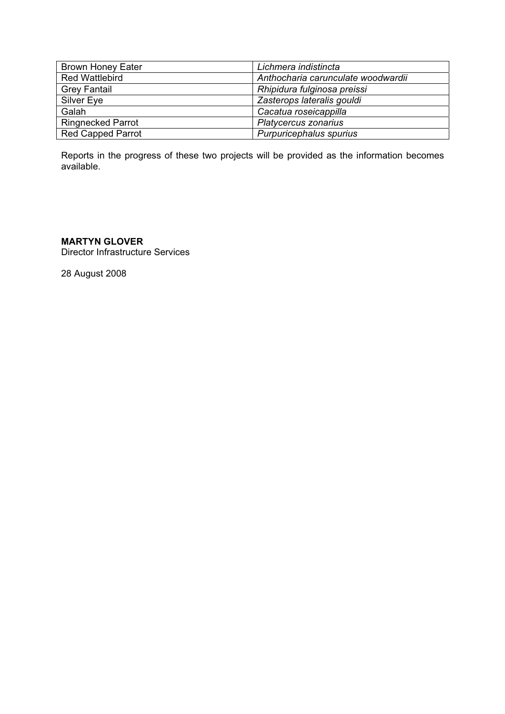| <b>Brown Honey Eater</b> | Lichmera indistincta               |
|--------------------------|------------------------------------|
| <b>Red Wattlebird</b>    | Anthocharia carunculate woodwardii |
| <b>Grey Fantail</b>      | Rhipidura fulginosa preissi        |
| Silver Eye               | Zasterops lateralis gouldi         |
| Galah                    | Cacatua roseicappilla              |
| <b>Ringnecked Parrot</b> | Platycercus zonarius               |
| <b>Red Capped Parrot</b> | Purpuricephalus spurius            |

Reports in the progress of these two projects will be provided as the information becomes available.

#### **MARTYN GLOVER**

Director Infrastructure Services

28 August 2008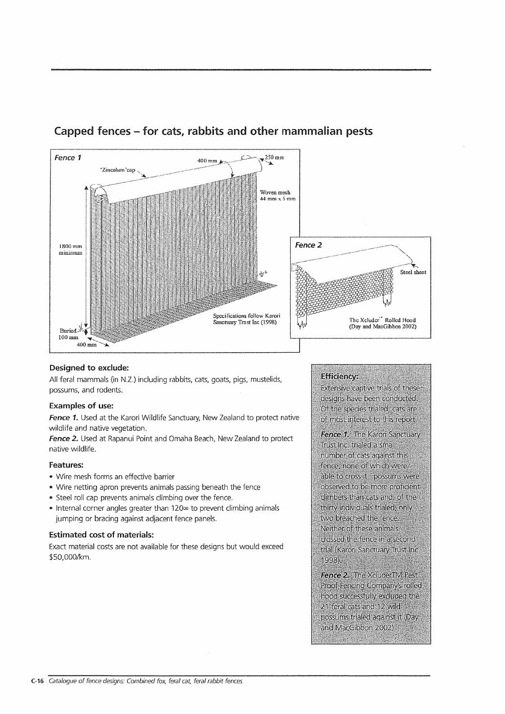

### Capped fences – for cats, rabbits and other mammalian pests

#### Designed to exclude:

All feral mammals (in N.Z.) including rabbits, cats, goats, pigs, mustelids, possums, and rodents.

#### **Examples of use:**

Fence 1. Used at the Karori Wildlife Sanctuary, New Zealand to protect native wildlife and native vegetation.

Fence 2. Used at Rapanui Point and Omaha Beach, New Zealand to protect native wildlife.

#### Features:

- · Wire mesh forms an effective barrier
- Wire netting apron prevents animals passing beneath the fence
- . Steel roll cap prevents animals climbing over the fence.
- Internal corner angles greater than 120<sup>o</sup> to prevent climbing animals jumping or bracing against adjacent fence panels.

#### **Estimated cost of materials:**

Exact material costs are not available for these designs but would exceed \$50,000/km.

#### **Efficiency:**

**Extensive captive trials of these** designs have been conducted. Of the species trialed, cats are of most interest to this report.

Fence 1. The Karori Sanctuary Trust Inc. trialed a small number of cats against this fence, none of which were able to cross it. possums were observed to be more proficient climbers than cats and, of the thirty individuals trialed, only two breached the fence. Neither of these animals crossed the fence in a second trial (Karori Sanctuary Trust Inc. 1998)

Fence 2. The XcluderTM Pest Proof Fencing Company's rolled: hood successfully excluded the 21 feral cats and 12 wild possums trialed against it (Day and MacGibbon 2002)